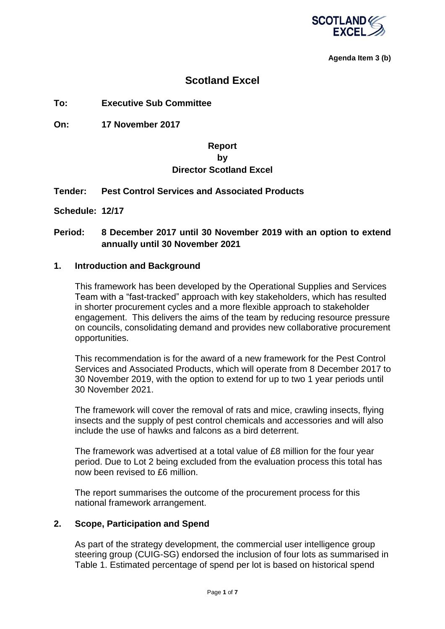

**Agenda Item 3 (b)**

## **Scotland Excel**

**To: Executive Sub Committee**

**On: 17 November 2017**

## **Report by Director Scotland Excel**

#### **Tender: Pest Control Services and Associated Products**

**Schedule: 12/17**

## **Period: 8 December 2017 until 30 November 2019 with an option to extend annually until 30 November 2021**

#### **1. Introduction and Background**

This framework has been developed by the Operational Supplies and Services Team with a "fast-tracked" approach with key stakeholders, which has resulted in shorter procurement cycles and a more flexible approach to stakeholder engagement. This delivers the aims of the team by reducing resource pressure on councils, consolidating demand and provides new collaborative procurement opportunities.

This recommendation is for the award of a new framework for the Pest Control Services and Associated Products, which will operate from 8 December 2017 to 30 November 2019, with the option to extend for up to two 1 year periods until 30 November 2021.

The framework will cover the removal of rats and mice, crawling insects, flying insects and the supply of pest control chemicals and accessories and will also include the use of hawks and falcons as a bird deterrent.

The framework was advertised at a total value of £8 million for the four year period. Due to Lot 2 being excluded from the evaluation process this total has now been revised to £6 million.

The report summarises the outcome of the procurement process for this national framework arrangement.

### **2. Scope, Participation and Spend**

As part of the strategy development, the commercial user intelligence group steering group (CUIG-SG) endorsed the inclusion of four lots as summarised in Table 1. Estimated percentage of spend per lot is based on historical spend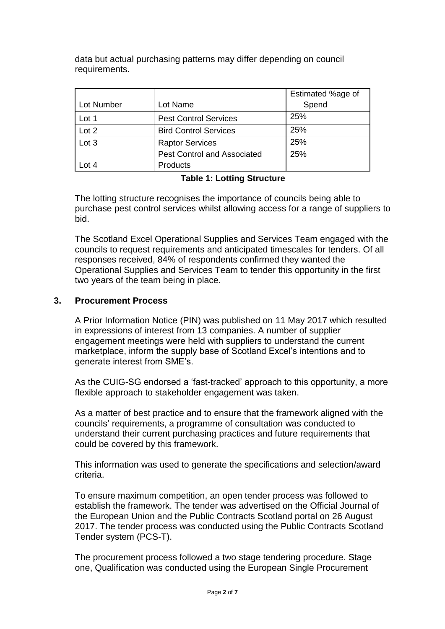data but actual purchasing patterns may differ depending on council requirements.

|            |                                    | Estimated %age of |
|------------|------------------------------------|-------------------|
| Lot Number | Lot Name                           | Spend             |
| Lot 1      | <b>Pest Control Services</b>       | 25%               |
| Lot 2      | <b>Bird Control Services</b>       | 25%               |
| Lot 3      | <b>Raptor Services</b>             | 25%               |
|            | <b>Pest Control and Associated</b> | 25%               |
| Lot $4$    | Products                           |                   |

#### **Table 1: Lotting Structure**

The lotting structure recognises the importance of councils being able to purchase pest control services whilst allowing access for a range of suppliers to bid.

The Scotland Excel Operational Supplies and Services Team engaged with the councils to request requirements and anticipated timescales for tenders. Of all responses received, 84% of respondents confirmed they wanted the Operational Supplies and Services Team to tender this opportunity in the first two years of the team being in place.

## **3. Procurement Process**

A Prior Information Notice (PIN) was published on 11 May 2017 which resulted in expressions of interest from 13 companies. A number of supplier engagement meetings were held with suppliers to understand the current marketplace, inform the supply base of Scotland Excel's intentions and to generate interest from SME's.

As the CUIG-SG endorsed a 'fast-tracked' approach to this opportunity, a more flexible approach to stakeholder engagement was taken.

As a matter of best practice and to ensure that the framework aligned with the councils' requirements, a programme of consultation was conducted to understand their current purchasing practices and future requirements that could be covered by this framework.

This information was used to generate the specifications and selection/award criteria.

To ensure maximum competition, an open tender process was followed to establish the framework. The tender was advertised on the Official Journal of the European Union and the Public Contracts Scotland portal on 26 August 2017. The tender process was conducted using the Public Contracts Scotland Tender system (PCS-T).

The procurement process followed a two stage tendering procedure. Stage one, Qualification was conducted using the European Single Procurement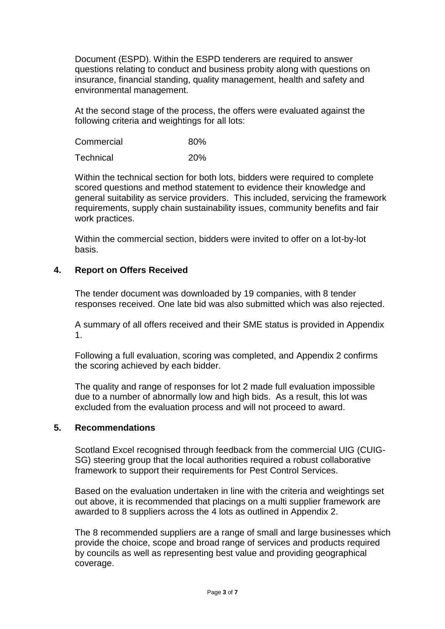Document (ESPD). Within the ESPD tenderers are required to answer questions relating to conduct and business probity along with questions on insurance, financial standing, quality management, health and safety and environmental management.

At the second stage of the process, the offers were evaluated against the following criteria and weightings for all lots:

Commercial 80%

Technical 20%

Within the technical section for both lots, bidders were required to complete scored questions and method statement to evidence their knowledge and general suitability as service providers. This included, servicing the framework requirements, supply chain sustainability issues, community benefits and fair work practices.

Within the commercial section, bidders were invited to offer on a lot-by-lot basis.

## **4. Report on Offers Received**

The tender document was downloaded by 19 companies, with 8 tender responses received. One late bid was also submitted which was also rejected.

A summary of all offers received and their SME status is provided in Appendix 1.

Following a full evaluation, scoring was completed, and Appendix 2 confirms the scoring achieved by each bidder.

The quality and range of responses for lot 2 made full evaluation impossible due to a number of abnormally low and high bids. As a result, this lot was excluded from the evaluation process and will not proceed to award.

### **5. Recommendations**

Scotland Excel recognised through feedback from the commercial UIG (CUIG-SG) steering group that the local authorities required a robust collaborative framework to support their requirements for Pest Control Services.

Based on the evaluation undertaken in line with the criteria and weightings set out above, it is recommended that placings on a multi supplier framework are awarded to 8 suppliers across the 4 lots as outlined in Appendix 2.

The 8 recommended suppliers are a range of small and large businesses which provide the choice, scope and broad range of services and products required by councils as well as representing best value and providing geographical coverage.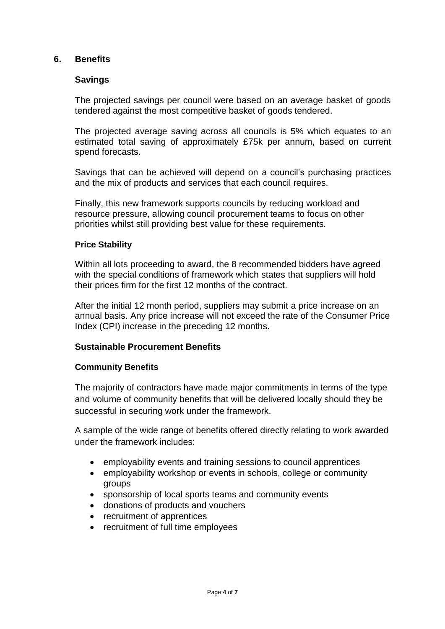### **6. Benefits**

#### **Savings**

The projected savings per council were based on an average basket of goods tendered against the most competitive basket of goods tendered.

The projected average saving across all councils is 5% which equates to an estimated total saving of approximately £75k per annum, based on current spend forecasts.

Savings that can be achieved will depend on a council's purchasing practices and the mix of products and services that each council requires.

Finally, this new framework supports councils by reducing workload and resource pressure, allowing council procurement teams to focus on other priorities whilst still providing best value for these requirements.

#### **Price Stability**

Within all lots proceeding to award, the 8 recommended bidders have agreed with the special conditions of framework which states that suppliers will hold their prices firm for the first 12 months of the contract.

After the initial 12 month period, suppliers may submit a price increase on an annual basis. Any price increase will not exceed the rate of the Consumer Price Index (CPI) increase in the preceding 12 months.

### **Sustainable Procurement Benefits**

#### **Community Benefits**

The majority of contractors have made major commitments in terms of the type and volume of community benefits that will be delivered locally should they be successful in securing work under the framework.

A sample of the wide range of benefits offered directly relating to work awarded under the framework includes:

- employability events and training sessions to council apprentices
- employability workshop or events in schools, college or community groups
- sponsorship of local sports teams and community events
- donations of products and vouchers
- recruitment of apprentices
- recruitment of full time employees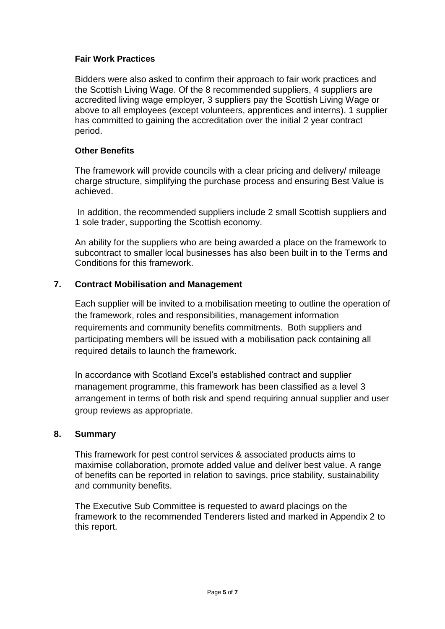### **Fair Work Practices**

Bidders were also asked to confirm their approach to fair work practices and the Scottish Living Wage. Of the 8 recommended suppliers, 4 suppliers are accredited living wage employer, 3 suppliers pay the Scottish Living Wage or above to all employees (except volunteers, apprentices and interns). 1 supplier has committed to gaining the accreditation over the initial 2 year contract period.

#### **Other Benefits**

The framework will provide councils with a clear pricing and delivery/ mileage charge structure, simplifying the purchase process and ensuring Best Value is achieved.

In addition, the recommended suppliers include 2 small Scottish suppliers and 1 sole trader, supporting the Scottish economy.

An ability for the suppliers who are being awarded a place on the framework to subcontract to smaller local businesses has also been built in to the Terms and Conditions for this framework.

## **7. Contract Mobilisation and Management**

Each supplier will be invited to a mobilisation meeting to outline the operation of the framework, roles and responsibilities, management information requirements and community benefits commitments. Both suppliers and participating members will be issued with a mobilisation pack containing all required details to launch the framework.

In accordance with Scotland Excel's established contract and supplier management programme, this framework has been classified as a level 3 arrangement in terms of both risk and spend requiring annual supplier and user group reviews as appropriate.

### **8. Summary**

This framework for pest control services & associated products aims to maximise collaboration, promote added value and deliver best value. A range of benefits can be reported in relation to savings, price stability, sustainability and community benefits.

The Executive Sub Committee is requested to award placings on the framework to the recommended Tenderers listed and marked in Appendix 2 to this report.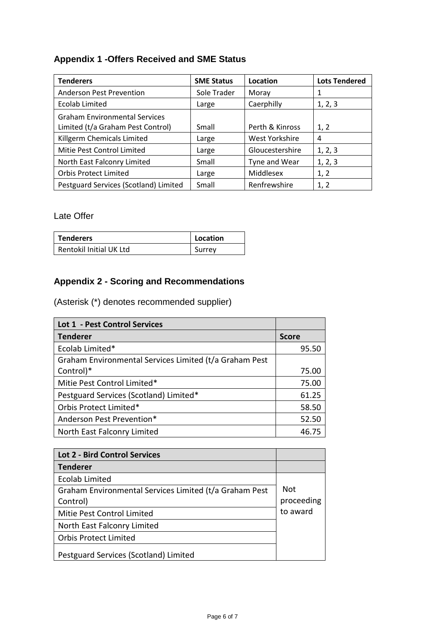# **Appendix 1 -Offers Received and SME Status**

| <b>Tenderers</b>                                                          | <b>SME Status</b> | Location        | <b>Lots Tendered</b> |
|---------------------------------------------------------------------------|-------------------|-----------------|----------------------|
| <b>Anderson Pest Prevention</b>                                           | Sole Trader       | Moray           |                      |
| <b>Ecolab Limited</b>                                                     | Large             | Caerphilly      | 1, 2, 3              |
| <b>Graham Environmental Services</b><br>Limited (t/a Graham Pest Control) | Small             | Perth & Kinross | 1, 2                 |
| Killgerm Chemicals Limited                                                | Large             | West Yorkshire  | 4                    |
| Mitie Pest Control Limited                                                | Large             | Gloucestershire | 1, 2, 3              |
| North East Falconry Limited                                               | Small             | Tyne and Wear   | 1, 2, 3              |
| <b>Orbis Protect Limited</b>                                              | Large             | Middlesex       | 1, 2                 |
| Pestguard Services (Scotland) Limited                                     | Small             | Renfrewshire    | 1, 2                 |

Late Offer

| <b>Tenderers</b>        | Location |
|-------------------------|----------|
| Rentokil Initial UK Ltd | Surrey   |

# **Appendix 2 - Scoring and Recommendations**

(Asterisk (\*) denotes recommended supplier)

| Lot 1 - Pest Control Services                          |              |
|--------------------------------------------------------|--------------|
| <b>Tenderer</b>                                        | <b>Score</b> |
| Ecolab Limited*                                        | 95.50        |
| Graham Environmental Services Limited (t/a Graham Pest |              |
| Control)*                                              | 75.00        |
| Mitie Pest Control Limited*                            | 75.00        |
| Pestguard Services (Scotland) Limited*                 | 61.25        |
| Orbis Protect Limited*                                 | 58.50        |
| Anderson Pest Prevention*                              | 52.50        |
| North East Falconry Limited                            | 46.75        |

| <b>Lot 2 - Bird Control Services</b>                   |            |
|--------------------------------------------------------|------------|
| <b>Tenderer</b>                                        |            |
| <b>Ecolab Limited</b>                                  |            |
| Graham Environmental Services Limited (t/a Graham Pest | <b>Not</b> |
| Control)                                               | proceeding |
| Mitie Pest Control Limited                             | to award   |
| North East Falconry Limited                            |            |
| <b>Orbis Protect Limited</b>                           |            |
| Pestguard Services (Scotland) Limited                  |            |